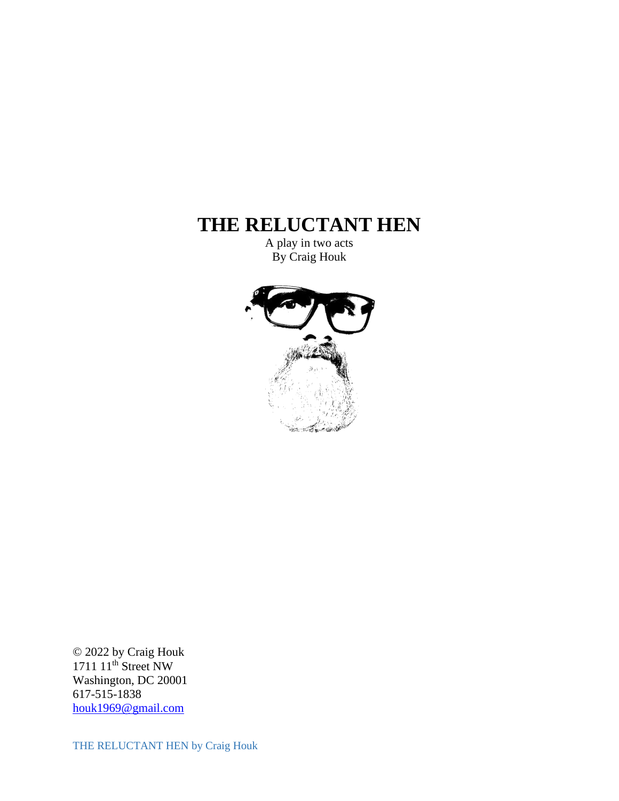# **THE RELUCTANT HEN**

A play in two acts By Craig Houk



© 2022 by Craig Houk 1711 11<sup>th</sup> Street NW Washington, DC 20001 617-515-1838 [houk1969@gmail.com](mailto:houk1969@gmail.com)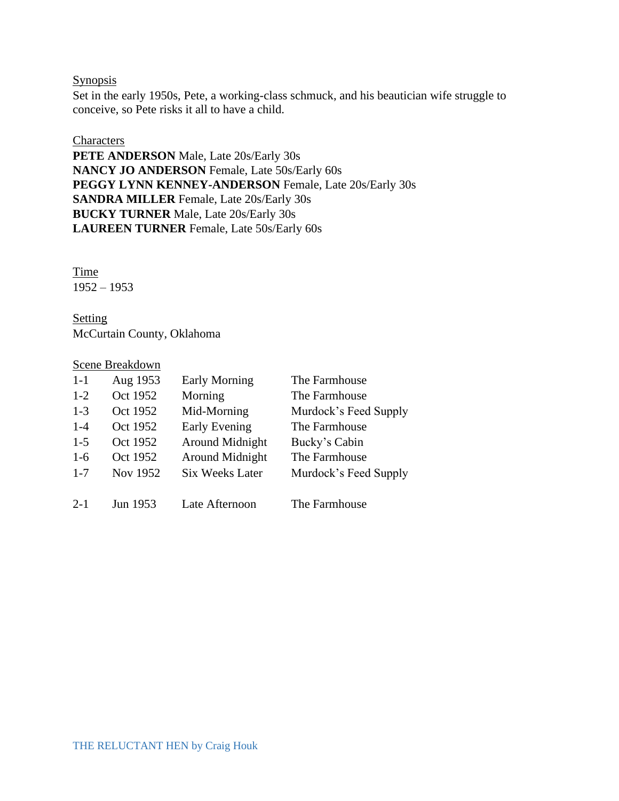## **Synopsis**

Set in the early 1950s, Pete, a working-class schmuck, and his beautician wife struggle to conceive, so Pete risks it all to have a child.

## **Characters**

**PETE ANDERSON** Male, Late 20s/Early 30s **NANCY JO ANDERSON** Female, Late 50s/Early 60s **PEGGY LYNN KENNEY-ANDERSON** Female, Late 20s/Early 30s **SANDRA MILLER** Female, Late 20s/Early 30s **BUCKY TURNER** Male, Late 20s/Early 30s **LAUREEN TURNER** Female, Late 50s/Early 60s

Time 1952 – 1953

**Setting** McCurtain County, Oklahoma

# Scene Breakdown

| $1-1$   | Aug 1953 | <b>Early Morning</b>   | The Farmhouse         |
|---------|----------|------------------------|-----------------------|
| $1-2$   | Oct 1952 | Morning                | The Farmhouse         |
| $1-3$   | Oct 1952 | Mid-Morning            | Murdock's Feed Supply |
| $1 - 4$ | Oct 1952 | Early Evening          | The Farmhouse         |
| $1-5$   | Oct 1952 | Around Midnight        | Bucky's Cabin         |
| $1-6$   | Oct 1952 | Around Midnight        | The Farmhouse         |
| $1 - 7$ | Nov 1952 | <b>Six Weeks Later</b> | Murdock's Feed Supply |
|         |          |                        |                       |
| $2 - 1$ | Jun 1953 | Late Afternoon         | The Farmhouse         |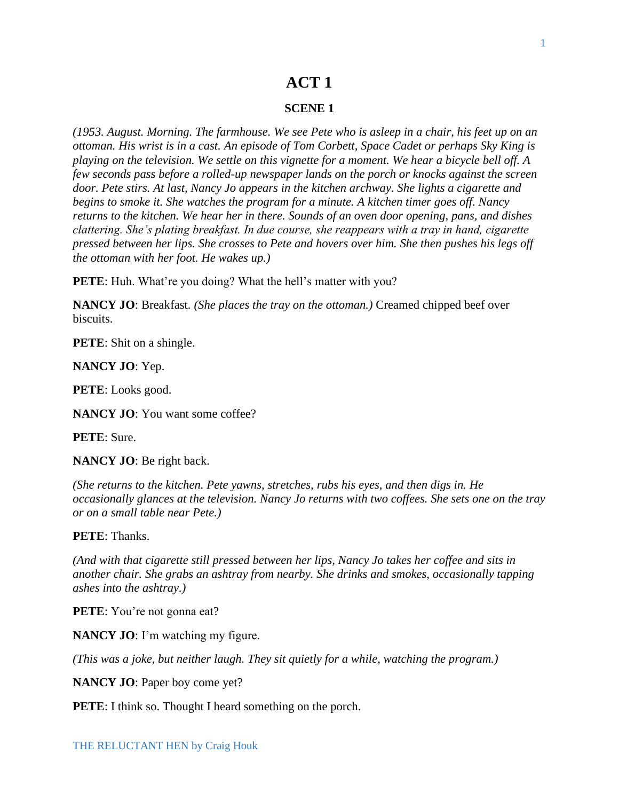# **ACT 1**

### **SCENE 1**

*(1953. August. Morning. The farmhouse. We see Pete who is asleep in a chair, his feet up on an ottoman. His wrist is in a cast. An episode of Tom Corbett, Space Cadet or perhaps Sky King is playing on the television. We settle on this vignette for a moment. We hear a bicycle bell off. A few seconds pass before a rolled-up newspaper lands on the porch or knocks against the screen door. Pete stirs. At last, Nancy Jo appears in the kitchen archway. She lights a cigarette and begins to smoke it. She watches the program for a minute. A kitchen timer goes off. Nancy returns to the kitchen. We hear her in there. Sounds of an oven door opening, pans, and dishes clattering. She's plating breakfast. In due course, she reappears with a tray in hand, cigarette pressed between her lips. She crosses to Pete and hovers over him. She then pushes his legs off the ottoman with her foot. He wakes up.)*

**PETE**: Huh. What're you doing? What the hell's matter with you?

**NANCY JO**: Breakfast. *(She places the tray on the ottoman.)* Creamed chipped beef over biscuits.

**PETE**: Shit on a shingle.

**NANCY JO**: Yep.

**PETE**: Looks good.

**NANCY JO**: You want some coffee?

**PETE**: Sure.

**NANCY JO**: Be right back.

*(She returns to the kitchen. Pete yawns, stretches, rubs his eyes, and then digs in. He occasionally glances at the television. Nancy Jo returns with two coffees. She sets one on the tray or on a small table near Pete.)* 

**PETE**: Thanks.

*(And with that cigarette still pressed between her lips, Nancy Jo takes her coffee and sits in another chair. She grabs an ashtray from nearby. She drinks and smokes, occasionally tapping ashes into the ashtray.)*

**PETE**: You're not gonna eat?

**NANCY JO**: I'm watching my figure.

*(This was a joke, but neither laugh. They sit quietly for a while, watching the program.)*

**NANCY JO**: Paper boy come yet?

**PETE:** I think so. Thought I heard something on the porch.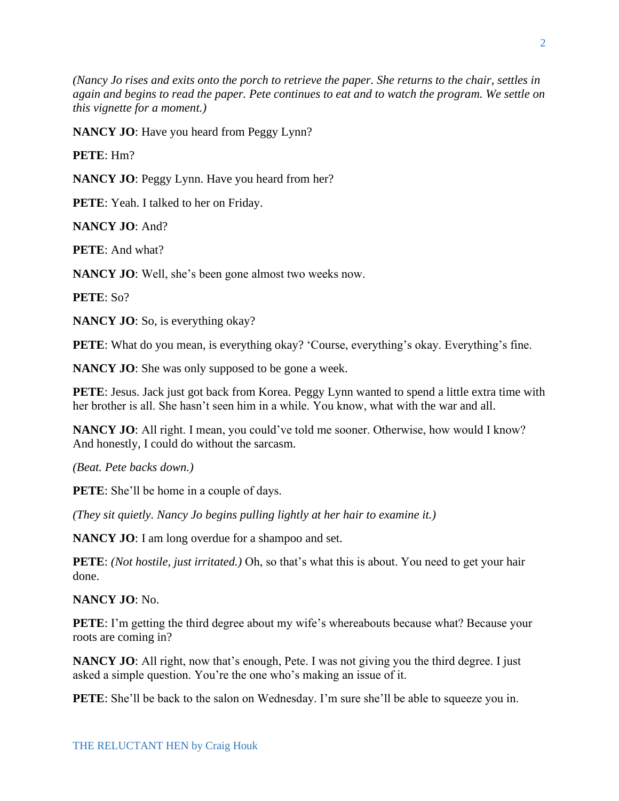*(Nancy Jo rises and exits onto the porch to retrieve the paper. She returns to the chair, settles in again and begins to read the paper. Pete continues to eat and to watch the program. We settle on this vignette for a moment.)*

**NANCY JO**: Have you heard from Peggy Lynn?

**PETE**: Hm?

**NANCY JO**: Peggy Lynn. Have you heard from her?

**PETE**: Yeah. I talked to her on Friday.

**NANCY JO**: And?

**PETE**: And what?

**NANCY JO**: Well, she's been gone almost two weeks now.

**PETE**: So?

**NANCY JO**: So, is everything okay?

**PETE**: What do you mean, is everything okay? 'Course, everything's okay. Everything's fine.

**NANCY JO:** She was only supposed to be gone a week.

PETE: Jesus. Jack just got back from Korea. Peggy Lynn wanted to spend a little extra time with her brother is all. She hasn't seen him in a while. You know, what with the war and all.

**NANCY JO**: All right. I mean, you could've told me sooner. Otherwise, how would I know? And honestly, I could do without the sarcasm.

*(Beat. Pete backs down.)*

**PETE**: She'll be home in a couple of days.

*(They sit quietly. Nancy Jo begins pulling lightly at her hair to examine it.)*

**NANCY JO**: I am long overdue for a shampoo and set.

**PETE**: *(Not hostile, just irritated.)* Oh, so that's what this is about. You need to get your hair done.

**NANCY JO**: No.

**PETE:** I'm getting the third degree about my wife's whereabouts because what? Because your roots are coming in?

**NANCY JO**: All right, now that's enough, Pete. I was not giving you the third degree. I just asked a simple question. You're the one who's making an issue of it.

**PETE**: She'll be back to the salon on Wednesday. I'm sure she'll be able to squeeze you in.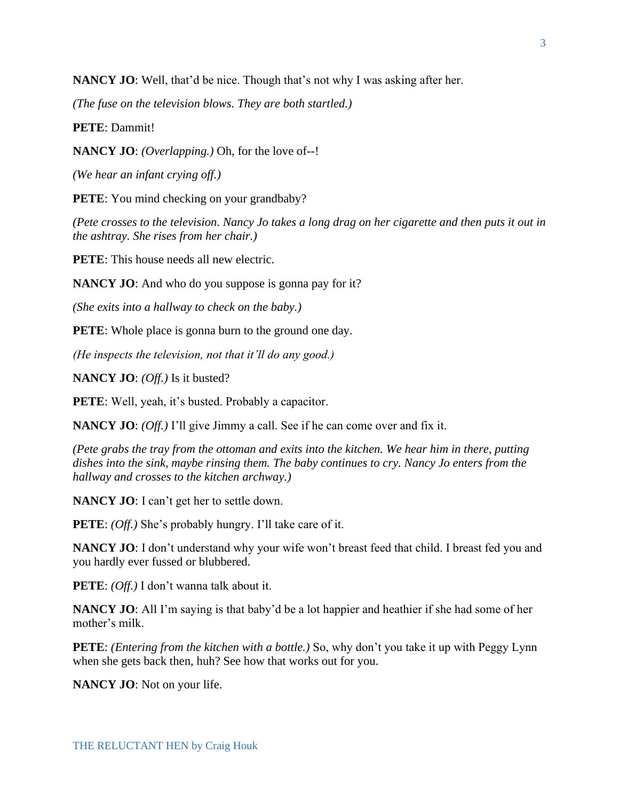**NANCY JO**: Well, that'd be nice. Though that's not why I was asking after her.

*(The fuse on the television blows. They are both startled.)*

**PETE**: Dammit!

**NANCY JO**: *(Overlapping.)* Oh, for the love of--!

*(We hear an infant crying off.)*

**PETE**: You mind checking on your grandbaby?

*(Pete crosses to the television. Nancy Jo takes a long drag on her cigarette and then puts it out in the ashtray. She rises from her chair.)*

**PETE**: This house needs all new electric.

**NANCY JO**: And who do you suppose is gonna pay for it?

*(She exits into a hallway to check on the baby.)*

**PETE:** Whole place is gonna burn to the ground one day.

*(He inspects the television, not that it'll do any good.)*

**NANCY JO**: *(Off.)* Is it busted?

PETE: Well, yeah, it's busted. Probably a capacitor.

**NANCY JO**: *(Off.)* I'll give Jimmy a call. See if he can come over and fix it.

*(Pete grabs the tray from the ottoman and exits into the kitchen. We hear him in there, putting dishes into the sink, maybe rinsing them. The baby continues to cry. Nancy Jo enters from the hallway and crosses to the kitchen archway.)*

**NANCY JO**: I can't get her to settle down.

**PETE**: *(Off.)* She's probably hungry. I'll take care of it.

**NANCY JO**: I don't understand why your wife won't breast feed that child. I breast fed you and you hardly ever fussed or blubbered.

**PETE**: *(Off.)* I don't wanna talk about it.

**NANCY JO**: All I'm saying is that baby'd be a lot happier and heathier if she had some of her mother's milk.

**PETE**: *(Entering from the kitchen with a bottle.)* So, why don't you take it up with Peggy Lynn when she gets back then, huh? See how that works out for you.

**NANCY JO**: Not on your life.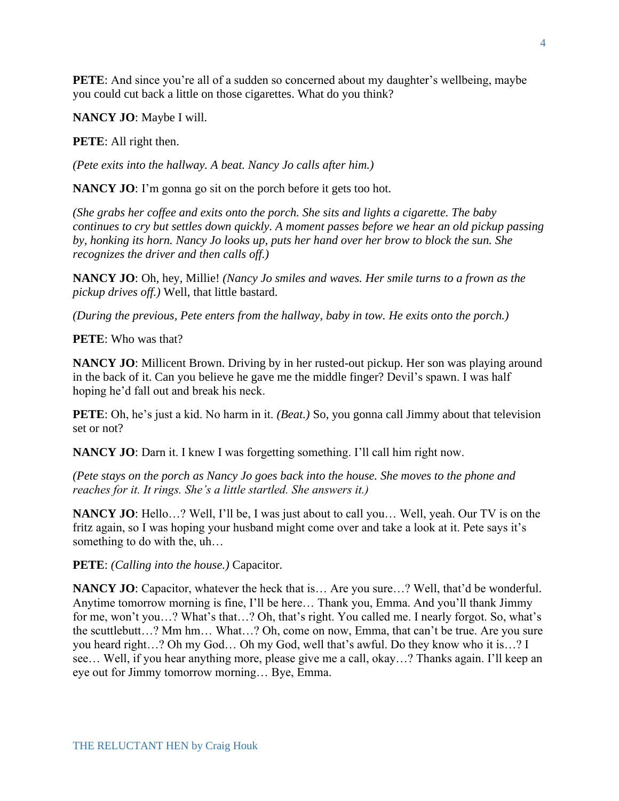**PETE**: And since you're all of a sudden so concerned about my daughter's wellbeing, maybe you could cut back a little on those cigarettes. What do you think?

**NANCY JO**: Maybe I will.

**PETE**: All right then.

*(Pete exits into the hallway. A beat. Nancy Jo calls after him.)*

**NANCY JO**: I'm gonna go sit on the porch before it gets too hot.

*(She grabs her coffee and exits onto the porch. She sits and lights a cigarette. The baby continues to cry but settles down quickly. A moment passes before we hear an old pickup passing by, honking its horn. Nancy Jo looks up, puts her hand over her brow to block the sun. She recognizes the driver and then calls off.)*

**NANCY JO**: Oh, hey, Millie! *(Nancy Jo smiles and waves. Her smile turns to a frown as the pickup drives off.)* Well, that little bastard.

*(During the previous, Pete enters from the hallway, baby in tow. He exits onto the porch.)* 

**PETE**: Who was that?

**NANCY JO**: Millicent Brown. Driving by in her rusted-out pickup. Her son was playing around in the back of it. Can you believe he gave me the middle finger? Devil's spawn. I was half hoping he'd fall out and break his neck.

**PETE**: Oh, he's just a kid. No harm in it. *(Beat.)* So, you gonna call Jimmy about that television set or not?

**NANCY JO**: Darn it. I knew I was forgetting something. I'll call him right now.

*(Pete stays on the porch as Nancy Jo goes back into the house. She moves to the phone and reaches for it. It rings. She's a little startled. She answers it.)*

**NANCY JO**: Hello…? Well, I'll be, I was just about to call you… Well, yeah. Our TV is on the fritz again, so I was hoping your husband might come over and take a look at it. Pete says it's something to do with the, uh…

**PETE**: *(Calling into the house.)* Capacitor.

**NANCY JO**: Capacitor, whatever the heck that is… Are you sure…? Well, that'd be wonderful. Anytime tomorrow morning is fine, I'll be here… Thank you, Emma. And you'll thank Jimmy for me, won't you…? What's that…? Oh, that's right. You called me. I nearly forgot. So, what's the scuttlebutt…? Mm hm… What…? Oh, come on now, Emma, that can't be true. Are you sure you heard right…? Oh my God… Oh my God, well that's awful. Do they know who it is…? I see… Well, if you hear anything more, please give me a call, okay…? Thanks again. I'll keep an eye out for Jimmy tomorrow morning… Bye, Emma.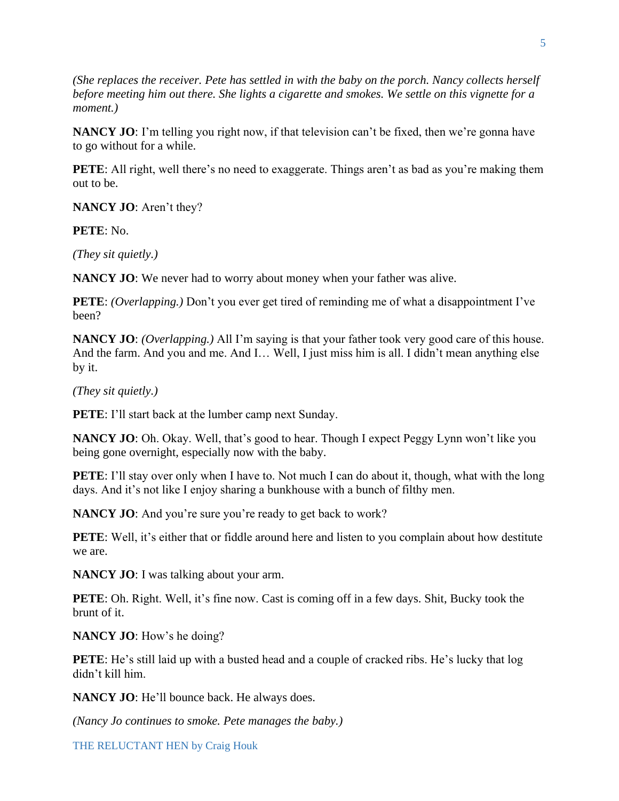*(She replaces the receiver. Pete has settled in with the baby on the porch. Nancy collects herself before meeting him out there. She lights a cigarette and smokes. We settle on this vignette for a moment.)*

**NANCY JO**: I'm telling you right now, if that television can't be fixed, then we're gonna have to go without for a while.

**PETE**: All right, well there's no need to exaggerate. Things aren't as bad as you're making them out to be.

**NANCY JO**: Aren't they?

**PETE**: No.

*(They sit quietly.)*

**NANCY JO**: We never had to worry about money when your father was alive.

**PETE**: *(Overlapping.)* Don't you ever get tired of reminding me of what a disappointment I've been?

**NANCY JO**: *(Overlapping.)* All I'm saying is that your father took very good care of this house. And the farm. And you and me. And I… Well, I just miss him is all. I didn't mean anything else by it.

*(They sit quietly.)*

**PETE**: I'll start back at the lumber camp next Sunday.

**NANCY JO**: Oh. Okay. Well, that's good to hear. Though I expect Peggy Lynn won't like you being gone overnight, especially now with the baby.

**PETE:** I'll stay over only when I have to. Not much I can do about it, though, what with the long days. And it's not like I enjoy sharing a bunkhouse with a bunch of filthy men.

**NANCY JO:** And you're sure you're ready to get back to work?

**PETE**: Well, it's either that or fiddle around here and listen to you complain about how destitute we are.

**NANCY JO**: I was talking about your arm.

**PETE:** Oh. Right. Well, it's fine now. Cast is coming off in a few days. Shit, Bucky took the brunt of it.

**NANCY JO**: How's he doing?

**PETE**: He's still laid up with a busted head and a couple of cracked ribs. He's lucky that log didn't kill him.

**NANCY JO**: He'll bounce back. He always does.

*(Nancy Jo continues to smoke. Pete manages the baby.)*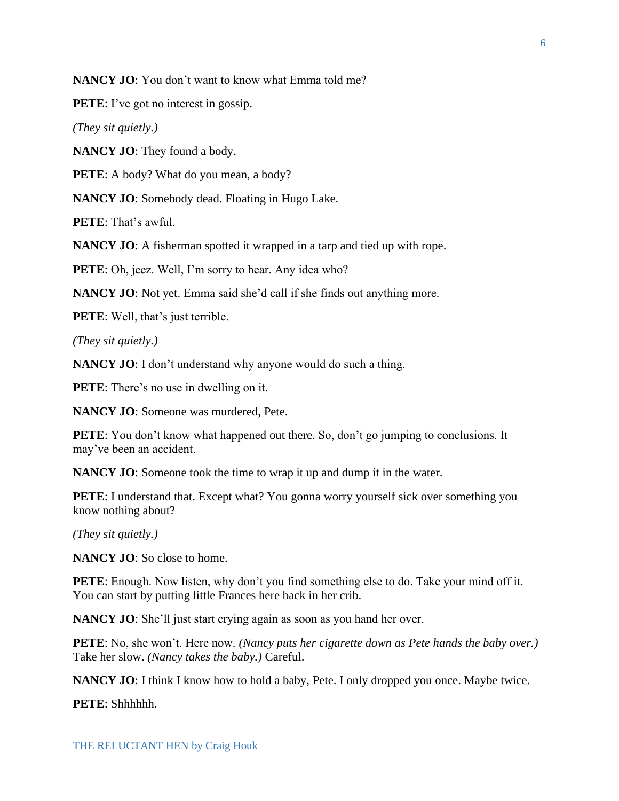**NANCY JO**: You don't want to know what Emma told me?

**PETE**: I've got no interest in gossip.

*(They sit quietly.)*

**NANCY JO**: They found a body.

**PETE**: A body? What do you mean, a body?

**NANCY JO**: Somebody dead. Floating in Hugo Lake.

**PETE**: That's awful.

**NANCY JO:** A fisherman spotted it wrapped in a tarp and tied up with rope.

**PETE**: Oh, jeez. Well, I'm sorry to hear. Any idea who?

**NANCY JO**: Not yet. Emma said she'd call if she finds out anything more.

**PETE**: Well, that's just terrible.

*(They sit quietly.)*

**NANCY JO:** I don't understand why anyone would do such a thing.

**PETE:** There's no use in dwelling on it.

**NANCY JO**: Someone was murdered, Pete.

**PETE:** You don't know what happened out there. So, don't go jumping to conclusions. It may've been an accident.

**NANCY JO**: Someone took the time to wrap it up and dump it in the water.

**PETE**: I understand that. Except what? You gonna worry yourself sick over something you know nothing about?

*(They sit quietly.)*

**NANCY JO**: So close to home.

**PETE:** Enough. Now listen, why don't you find something else to do. Take your mind off it. You can start by putting little Frances here back in her crib.

**NANCY JO:** She'll just start crying again as soon as you hand her over.

**PETE**: No, she won't. Here now. *(Nancy puts her cigarette down as Pete hands the baby over.)* Take her slow. *(Nancy takes the baby.)* Careful.

**NANCY JO**: I think I know how to hold a baby, Pete. I only dropped you once. Maybe twice.

**PETE**: Shhhhhh.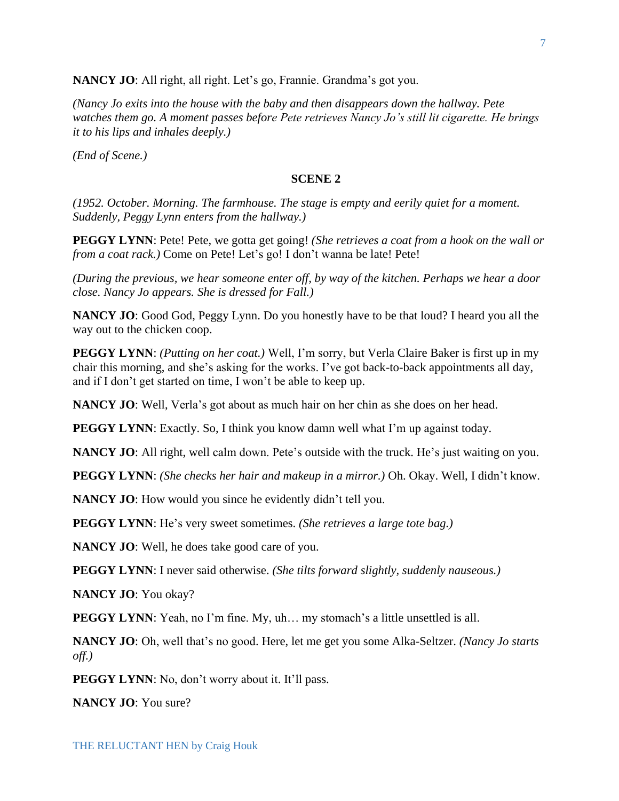**NANCY JO**: All right, all right. Let's go, Frannie. Grandma's got you.

*(Nancy Jo exits into the house with the baby and then disappears down the hallway. Pete watches them go. A moment passes before Pete retrieves Nancy Jo's still lit cigarette. He brings it to his lips and inhales deeply.)*

*(End of Scene.)*

#### **SCENE 2**

*(1952. October. Morning. The farmhouse. The stage is empty and eerily quiet for a moment. Suddenly, Peggy Lynn enters from the hallway.)*

**PEGGY LYNN**: Pete! Pete, we gotta get going! *(She retrieves a coat from a hook on the wall or from a coat rack.)* Come on Pete! Let's go! I don't wanna be late! Pete!

*(During the previous, we hear someone enter off, by way of the kitchen. Perhaps we hear a door close. Nancy Jo appears. She is dressed for Fall.)*

**NANCY JO**: Good God, Peggy Lynn. Do you honestly have to be that loud? I heard you all the way out to the chicken coop.

**PEGGY LYNN**: *(Putting on her coat.)* Well, I'm sorry, but Verla Claire Baker is first up in my chair this morning, and she's asking for the works. I've got back-to-back appointments all day, and if I don't get started on time, I won't be able to keep up.

**NANCY JO**: Well, Verla's got about as much hair on her chin as she does on her head.

**PEGGY LYNN**: Exactly. So, I think you know damn well what I'm up against today.

**NANCY JO:** All right, well calm down. Pete's outside with the truck. He's just waiting on you.

**PEGGY LYNN**: *(She checks her hair and makeup in a mirror.)* Oh. Okay. Well, I didn't know.

**NANCY JO**: How would you since he evidently didn't tell you.

**PEGGY LYNN**: He's very sweet sometimes. *(She retrieves a large tote bag.)*

**NANCY JO**: Well, he does take good care of you.

**PEGGY LYNN**: I never said otherwise. *(She tilts forward slightly, suddenly nauseous.)*

**NANCY JO**: You okay?

**PEGGY LYNN**: Yeah, no I'm fine. My, uh... my stomach's a little unsettled is all.

**NANCY JO**: Oh, well that's no good. Here, let me get you some Alka-Seltzer. *(Nancy Jo starts off.)*

**PEGGY LYNN**: No, don't worry about it. It'll pass.

**NANCY JO**: You sure?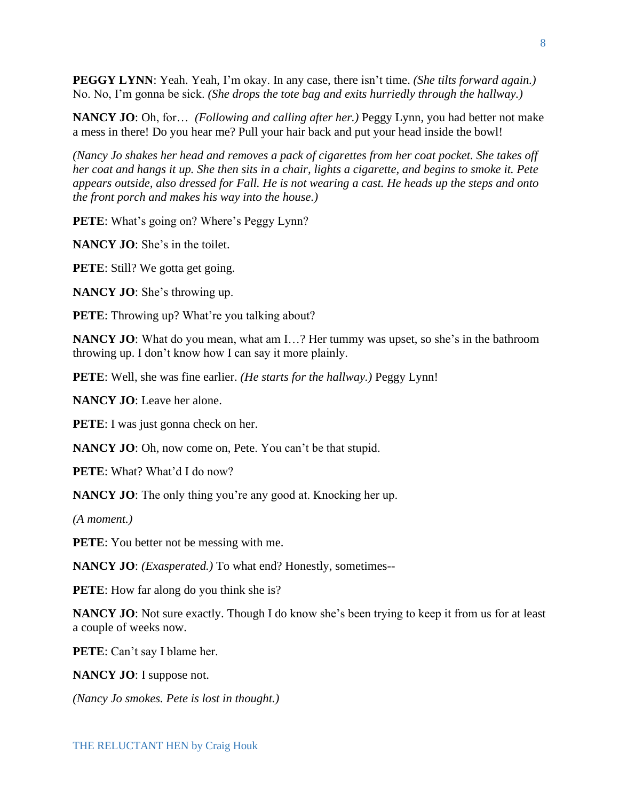**PEGGY LYNN**: Yeah. Yeah, I'm okay. In any case, there isn't time. *(She tilts forward again.)* No. No, I'm gonna be sick. *(She drops the tote bag and exits hurriedly through the hallway.)*

**NANCY JO**: Oh, for… *(Following and calling after her.)* Peggy Lynn, you had better not make a mess in there! Do you hear me? Pull your hair back and put your head inside the bowl!

*(Nancy Jo shakes her head and removes a pack of cigarettes from her coat pocket. She takes off her coat and hangs it up. She then sits in a chair, lights a cigarette, and begins to smoke it. Pete appears outside, also dressed for Fall. He is not wearing a cast. He heads up the steps and onto the front porch and makes his way into the house.)*

**PETE**: What's going on? Where's Peggy Lynn?

**NANCY JO**: She's in the toilet.

**PETE**: Still? We gotta get going.

**NANCY JO**: She's throwing up.

**PETE:** Throwing up? What're you talking about?

**NANCY JO**: What do you mean, what am I...? Her tummy was upset, so she's in the bathroom throwing up. I don't know how I can say it more plainly.

**PETE**: Well, she was fine earlier. *(He starts for the hallway.)* Peggy Lynn!

**NANCY JO**: Leave her alone.

**PETE**: I was just gonna check on her.

**NANCY JO**: Oh, now come on, Pete. You can't be that stupid.

**PETE**: What? What'd I do now?

**NANCY JO:** The only thing you're any good at. Knocking her up.

*(A moment.)*

**PETE**: You better not be messing with me.

**NANCY JO**: *(Exasperated.)* To what end? Honestly, sometimes--

**PETE**: How far along do you think she is?

**NANCY JO**: Not sure exactly. Though I do know she's been trying to keep it from us for at least a couple of weeks now.

**PETE**: Can't say I blame her.

**NANCY JO**: I suppose not.

*(Nancy Jo smokes. Pete is lost in thought.)*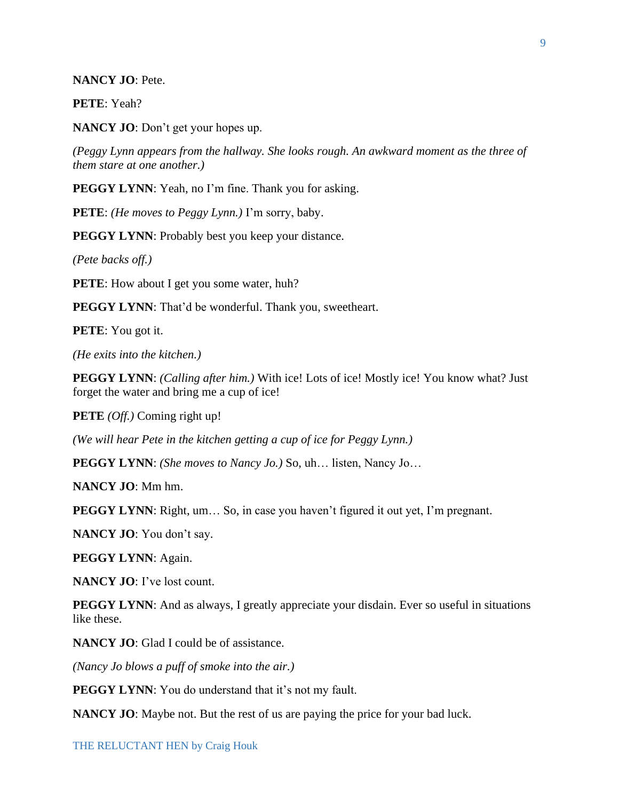#### **NANCY JO**: Pete.

**PETE**: Yeah?

**NANCY JO**: Don't get your hopes up.

*(Peggy Lynn appears from the hallway. She looks rough. An awkward moment as the three of them stare at one another.)*

PEGGY LYNN: Yeah, no I'm fine. Thank you for asking.

**PETE**: *(He moves to Peggy Lynn.)* I'm sorry, baby.

**PEGGY LYNN:** Probably best you keep your distance.

*(Pete backs off.)*

**PETE**: How about I get you some water, huh?

**PEGGY LYNN**: That'd be wonderful. Thank you, sweetheart.

**PETE**: You got it.

*(He exits into the kitchen.)*

**PEGGY LYNN**: *(Calling after him.)* With ice! Lots of ice! Mostly ice! You know what? Just forget the water and bring me a cup of ice!

**PETE** *(Off.)* Coming right up!

*(We will hear Pete in the kitchen getting a cup of ice for Peggy Lynn.)*

**PEGGY LYNN**: *(She moves to Nancy Jo.)* So, uh… listen, Nancy Jo…

**NANCY JO**: Mm hm.

**PEGGY LYNN**: Right, um... So, in case you haven't figured it out yet, I'm pregnant.

**NANCY JO**: You don't say.

**PEGGY LYNN**: Again.

**NANCY JO**: I've lost count.

**PEGGY LYNN:** And as always, I greatly appreciate your disdain. Ever so useful in situations like these.

**NANCY JO:** Glad I could be of assistance.

*(Nancy Jo blows a puff of smoke into the air.)*

**PEGGY LYNN:** You do understand that it's not my fault.

**NANCY JO**: Maybe not. But the rest of us are paying the price for your bad luck.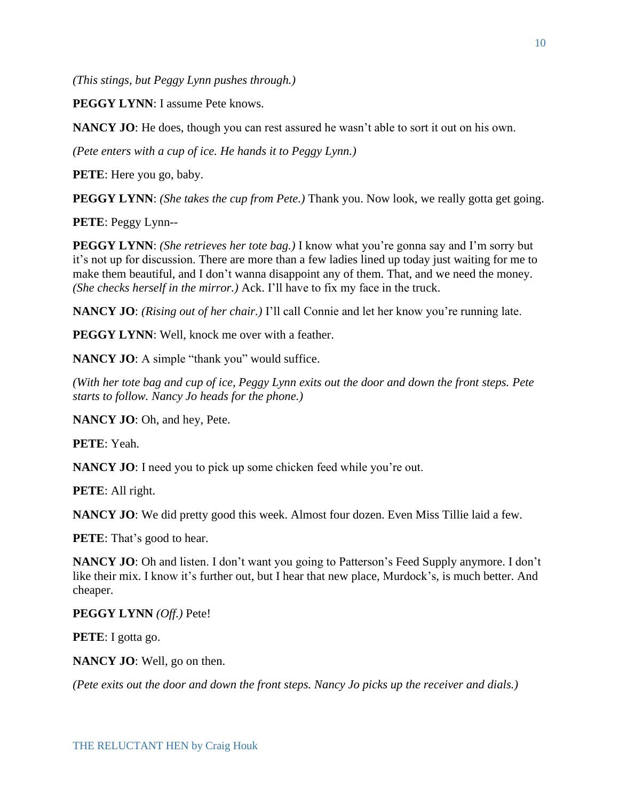*(This stings, but Peggy Lynn pushes through.)*

**PEGGY LYNN:** I assume Pete knows.

**NANCY JO**: He does, though you can rest assured he wasn't able to sort it out on his own.

*(Pete enters with a cup of ice. He hands it to Peggy Lynn.)*

**PETE**: Here you go, baby.

**PEGGY LYNN**: *(She takes the cup from Pete.)* Thank you. Now look, we really gotta get going.

**PETE**: Peggy Lynn--

**PEGGY LYNN**: *(She retrieves her tote bag.)* I know what you're gonna say and I'm sorry but it's not up for discussion. There are more than a few ladies lined up today just waiting for me to make them beautiful, and I don't wanna disappoint any of them. That, and we need the money. *(She checks herself in the mirror.)* Ack. I'll have to fix my face in the truck.

**NANCY JO**: *(Rising out of her chair.)* I'll call Connie and let her know you're running late.

**PEGGY LYNN:** Well, knock me over with a feather.

**NANCY JO:** A simple "thank you" would suffice.

*(With her tote bag and cup of ice, Peggy Lynn exits out the door and down the front steps. Pete starts to follow. Nancy Jo heads for the phone.)*

**NANCY JO**: Oh, and hey, Pete.

**PETE**: Yeah.

**NANCY JO**: I need you to pick up some chicken feed while you're out.

**PETE**: All right.

**NANCY JO**: We did pretty good this week. Almost four dozen. Even Miss Tillie laid a few.

**PETE**: That's good to hear.

**NANCY JO**: Oh and listen. I don't want you going to Patterson's Feed Supply anymore. I don't like their mix. I know it's further out, but I hear that new place, Murdock's, is much better. And cheaper.

**PEGGY LYNN** *(Off.)* Pete!

**PETE**: I gotta go.

**NANCY JO**: Well, go on then.

*(Pete exits out the door and down the front steps. Nancy Jo picks up the receiver and dials.)*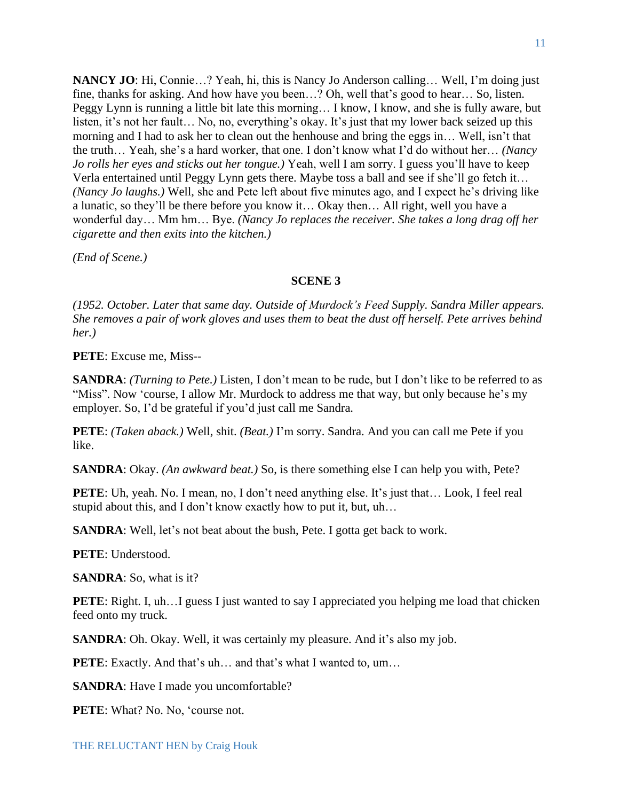**NANCY JO**: Hi, Connie…? Yeah, hi, this is Nancy Jo Anderson calling… Well, I'm doing just fine, thanks for asking. And how have you been…? Oh, well that's good to hear… So, listen. Peggy Lynn is running a little bit late this morning… I know, I know, and she is fully aware, but listen, it's not her fault… No, no, everything's okay. It's just that my lower back seized up this morning and I had to ask her to clean out the henhouse and bring the eggs in… Well, isn't that the truth… Yeah, she's a hard worker, that one. I don't know what I'd do without her… *(Nancy Jo rolls her eyes and sticks out her tongue.)* Yeah, well I am sorry. I guess you'll have to keep Verla entertained until Peggy Lynn gets there. Maybe toss a ball and see if she'll go fetch it… *(Nancy Jo laughs.)* Well, she and Pete left about five minutes ago, and I expect he's driving like a lunatic, so they'll be there before you know it… Okay then… All right, well you have a wonderful day… Mm hm… Bye. *(Nancy Jo replaces the receiver. She takes a long drag off her cigarette and then exits into the kitchen.)*

*(End of Scene.)*

### **SCENE 3**

*(1952. October. Later that same day. Outside of Murdock's Feed Supply. Sandra Miller appears. She removes a pair of work gloves and uses them to beat the dust off herself. Pete arrives behind her.)*

**PETE**: Excuse me, Miss--

**SANDRA**: *(Turning to Pete.)* Listen, I don't mean to be rude, but I don't like to be referred to as "Miss". Now 'course, I allow Mr. Murdock to address me that way, but only because he's my employer. So, I'd be grateful if you'd just call me Sandra.

**PETE**: *(Taken aback.)* Well, shit. *(Beat.)* I'm sorry. Sandra. And you can call me Pete if you like.

**SANDRA**: Okay. *(An awkward beat.)* So, is there something else I can help you with, Pete?

PETE: Uh, yeah. No. I mean, no, I don't need anything else. It's just that... Look, I feel real stupid about this, and I don't know exactly how to put it, but, uh…

**SANDRA**: Well, let's not beat about the bush, Pete. I gotta get back to work.

**PETE**: Understood.

**SANDRA**: So, what is it?

**PETE:** Right. I, uh... I guess I just wanted to say I appreciated you helping me load that chicken feed onto my truck.

**SANDRA**: Oh. Okay. Well, it was certainly my pleasure. And it's also my job.

**PETE:** Exactly. And that's uh... and that's what I wanted to, um...

**SANDRA**: Have I made you uncomfortable?

**PETE**: What? No. No, 'course not.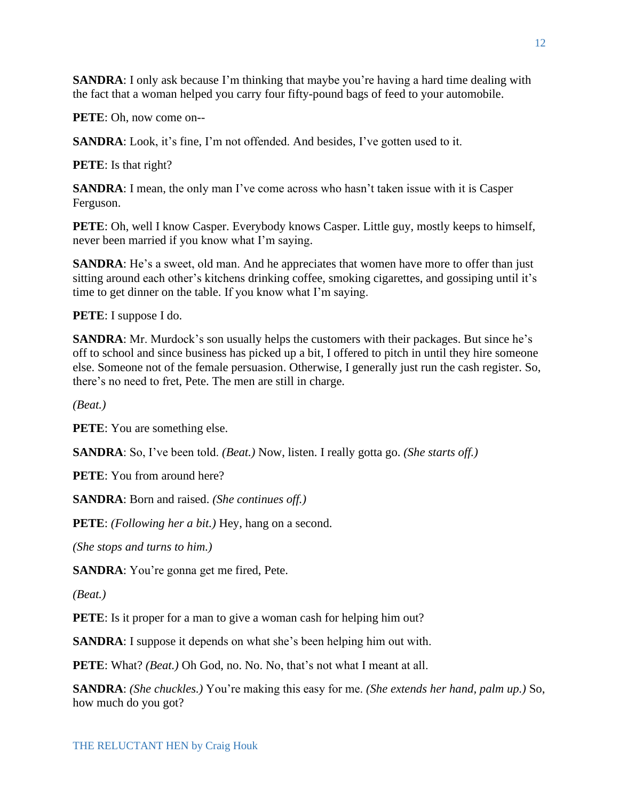**SANDRA**: I only ask because I'm thinking that maybe you're having a hard time dealing with the fact that a woman helped you carry four fifty-pound bags of feed to your automobile.

**PETE**: Oh, now come on--

**SANDRA**: Look, it's fine, I'm not offended. And besides, I've gotten used to it.

**PETE**: Is that right?

**SANDRA**: I mean, the only man I've come across who hasn't taken issue with it is Casper Ferguson.

PETE: Oh, well I know Casper. Everybody knows Casper. Little guy, mostly keeps to himself, never been married if you know what I'm saying.

**SANDRA**: He's a sweet, old man. And he appreciates that women have more to offer than just sitting around each other's kitchens drinking coffee, smoking cigarettes, and gossiping until it's time to get dinner on the table. If you know what I'm saying.

**PETE**: I suppose I do.

**SANDRA**: Mr. Murdock's son usually helps the customers with their packages. But since he's off to school and since business has picked up a bit, I offered to pitch in until they hire someone else. Someone not of the female persuasion. Otherwise, I generally just run the cash register. So, there's no need to fret, Pete. The men are still in charge.

*(Beat.)*

**PETE**: You are something else.

**SANDRA**: So, I've been told. *(Beat.)* Now, listen. I really gotta go. *(She starts off.)*

**PETE**: You from around here?

**SANDRA**: Born and raised. *(She continues off.)*

**PETE**: *(Following her a bit.)* Hey, hang on a second.

*(She stops and turns to him.)*

**SANDRA**: You're gonna get me fired, Pete.

*(Beat.)*

**PETE**: Is it proper for a man to give a woman cash for helping him out?

**SANDRA**: I suppose it depends on what she's been helping him out with.

**PETE**: What? *(Beat.)* Oh God, no. No. No, that's not what I meant at all.

**SANDRA**: *(She chuckles.)* You're making this easy for me. *(She extends her hand, palm up.)* So, how much do you got?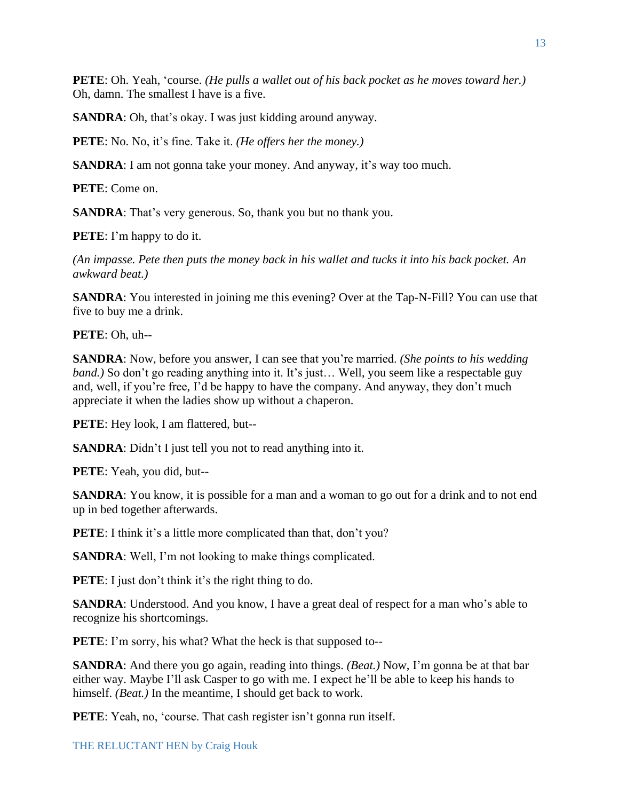**PETE**: Oh. Yeah, 'course. *(He pulls a wallet out of his back pocket as he moves toward her.)* Oh, damn. The smallest I have is a five.

**SANDRA**: Oh, that's okay. I was just kidding around anyway.

**PETE**: No. No, it's fine. Take it. *(He offers her the money.)*

**SANDRA**: I am not gonna take your money. And anyway, it's way too much.

**PETE**: Come on.

**SANDRA**: That's very generous. So, thank you but no thank you.

**PETE**: I'm happy to do it.

*(An impasse. Pete then puts the money back in his wallet and tucks it into his back pocket. An awkward beat.)*

**SANDRA:** You interested in joining me this evening? Over at the Tap-N-Fill? You can use that five to buy me a drink.

**PETE**: Oh, uh--

**SANDRA**: Now, before you answer, I can see that you're married. *(She points to his wedding band.*) So don't go reading anything into it. It's just... Well, you seem like a respectable guy and, well, if you're free, I'd be happy to have the company. And anyway, they don't much appreciate it when the ladies show up without a chaperon.

**PETE**: Hey look, I am flattered, but--

**SANDRA:** Didn't I just tell you not to read anything into it.

**PETE**: Yeah, you did, but--

**SANDRA**: You know, it is possible for a man and a woman to go out for a drink and to not end up in bed together afterwards.

**PETE**: I think it's a little more complicated than that, don't you?

**SANDRA**: Well, I'm not looking to make things complicated.

**PETE**: I just don't think it's the right thing to do.

**SANDRA**: Understood. And you know, I have a great deal of respect for a man who's able to recognize his shortcomings.

**PETE**: I'm sorry, his what? What the heck is that supposed to--

**SANDRA**: And there you go again, reading into things. *(Beat.)* Now, I'm gonna be at that bar either way. Maybe I'll ask Casper to go with me. I expect he'll be able to keep his hands to himself. *(Beat.)* In the meantime, I should get back to work.

**PETE**: Yeah, no, 'course. That cash register isn't gonna run itself.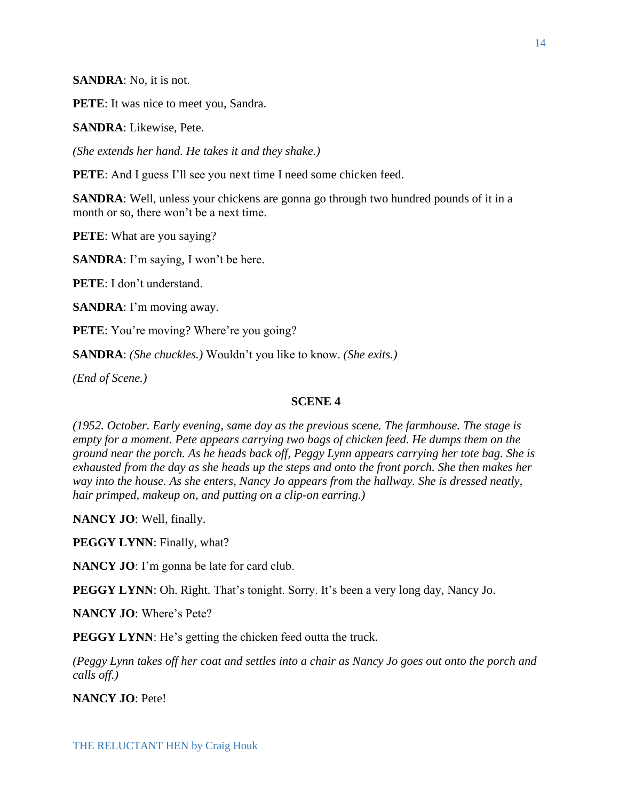**SANDRA**: No, it is not.

**PETE**: It was nice to meet you, Sandra.

**SANDRA**: Likewise, Pete.

*(She extends her hand. He takes it and they shake.)*

**PETE**: And I guess I'll see you next time I need some chicken feed.

**SANDRA**: Well, unless your chickens are gonna go through two hundred pounds of it in a month or so, there won't be a next time.

**PETE**: What are you saying?

**SANDRA**: I'm saying, I won't be here.

**PETE**: I don't understand.

**SANDRA**: I'm moving away.

**PETE**: You're moving? Where're you going?

**SANDRA**: *(She chuckles.)* Wouldn't you like to know. *(She exits.)*

*(End of Scene.)*

## **SCENE 4**

*(1952. October. Early evening, same day as the previous scene. The farmhouse. The stage is empty for a moment. Pete appears carrying two bags of chicken feed. He dumps them on the ground near the porch. As he heads back off, Peggy Lynn appears carrying her tote bag. She is exhausted from the day as she heads up the steps and onto the front porch. She then makes her way into the house. As she enters, Nancy Jo appears from the hallway. She is dressed neatly, hair primped, makeup on, and putting on a clip-on earring.)*

**NANCY JO**: Well, finally.

**PEGGY LYNN**: Finally, what?

**NANCY JO**: I'm gonna be late for card club.

**PEGGY LYNN**: Oh. Right. That's tonight. Sorry. It's been a very long day, Nancy Jo.

**NANCY JO**: Where's Pete?

**PEGGY LYNN:** He's getting the chicken feed outta the truck.

*(Peggy Lynn takes off her coat and settles into a chair as Nancy Jo goes out onto the porch and calls off.)*

**NANCY JO**: Pete!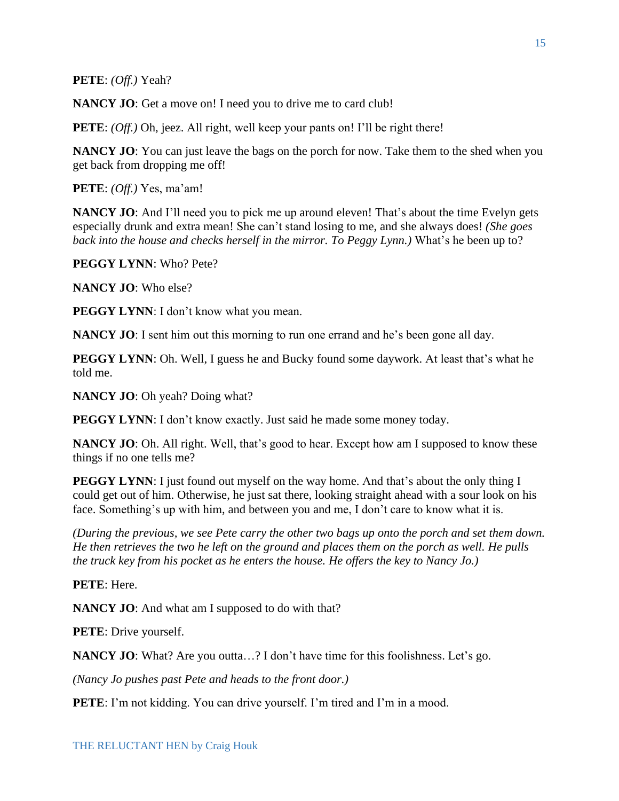**PETE**: *(Off.)* Yeah?

**NANCY JO**: Get a move on! I need you to drive me to card club!

**PETE**: *(Off.)* Oh, jeez. All right, well keep your pants on! I'll be right there!

**NANCY JO**: You can just leave the bags on the porch for now. Take them to the shed when you get back from dropping me off!

**PETE**: *(Off.)* Yes, ma'am!

**NANCY JO**: And I'll need you to pick me up around eleven! That's about the time Evelyn gets especially drunk and extra mean! She can't stand losing to me, and she always does! *(She goes back into the house and checks herself in the mirror. To Peggy Lynn.)* What's he been up to?

**PEGGY LYNN**: Who? Pete?

**NANCY JO**: Who else?

**PEGGY LYNN**: I don't know what you mean.

**NANCY JO**: I sent him out this morning to run one errand and he's been gone all day.

**PEGGY LYNN**: Oh. Well, I guess he and Bucky found some daywork. At least that's what he told me.

**NANCY JO**: Oh yeah? Doing what?

**PEGGY LYNN**: I don't know exactly. Just said he made some money today.

**NANCY JO**: Oh. All right. Well, that's good to hear. Except how am I supposed to know these things if no one tells me?

**PEGGY LYNN**: I just found out myself on the way home. And that's about the only thing I could get out of him. Otherwise, he just sat there, looking straight ahead with a sour look on his face. Something's up with him, and between you and me, I don't care to know what it is.

*(During the previous, we see Pete carry the other two bags up onto the porch and set them down. He then retrieves the two he left on the ground and places them on the porch as well. He pulls the truck key from his pocket as he enters the house. He offers the key to Nancy Jo.)* 

**PETE**: Here.

**NANCY JO**: And what am I supposed to do with that?

**PETE**: Drive yourself.

**NANCY JO**: What? Are you outta...? I don't have time for this foolishness. Let's go.

*(Nancy Jo pushes past Pete and heads to the front door.)*

**PETE**: I'm not kidding. You can drive yourself. I'm tired and I'm in a mood.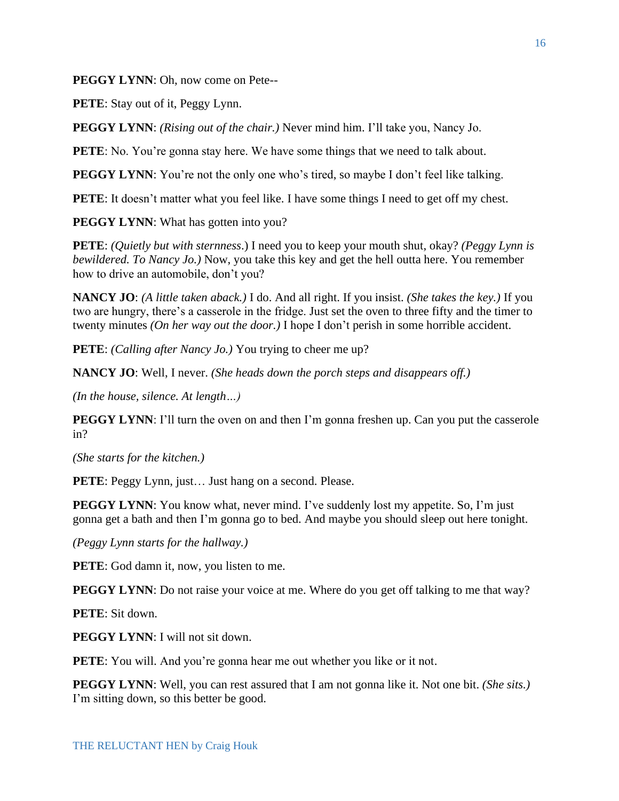**PEGGY LYNN**: Oh, now come on Pete--

**PETE**: Stay out of it, Peggy Lynn.

**PEGGY LYNN**: *(Rising out of the chair.)* Never mind him. I'll take you, Nancy Jo.

**PETE**: No. You're gonna stay here. We have some things that we need to talk about.

**PEGGY LYNN**: You're not the only one who's tired, so maybe I don't feel like talking.

**PETE**: It doesn't matter what you feel like. I have some things I need to get off my chest.

**PEGGY LYNN:** What has gotten into you?

**PETE**: *(Quietly but with sternness*.) I need you to keep your mouth shut, okay? *(Peggy Lynn is bewildered. To Nancy Jo.)* Now, you take this key and get the hell outta here. You remember how to drive an automobile, don't you?

**NANCY JO**: *(A little taken aback.)* I do. And all right. If you insist. *(She takes the key.)* If you two are hungry, there's a casserole in the fridge. Just set the oven to three fifty and the timer to twenty minutes *(On her way out the door.)* I hope I don't perish in some horrible accident.

**PETE**: *(Calling after Nancy Jo.)* You trying to cheer me up?

**NANCY JO**: Well, I never. *(She heads down the porch steps and disappears off.)*

*(In the house, silence. At length…)*

**PEGGY LYNN:** I'll turn the oven on and then I'm gonna freshen up. Can you put the casserole in?

*(She starts for the kitchen.)*

**PETE**: Peggy Lynn, just... Just hang on a second. Please.

**PEGGY LYNN**: You know what, never mind. I've suddenly lost my appetite. So, I'm just gonna get a bath and then I'm gonna go to bed. And maybe you should sleep out here tonight.

*(Peggy Lynn starts for the hallway.)*

**PETE**: God damn it, now, you listen to me.

**PEGGY LYNN**: Do not raise your voice at me. Where do you get off talking to me that way?

**PETE**: Sit down.

**PEGGY LYNN:** I will not sit down.

**PETE**: You will. And you're gonna hear me out whether you like or it not.

**PEGGY LYNN**: Well, you can rest assured that I am not gonna like it. Not one bit. *(She sits.)*  I'm sitting down, so this better be good.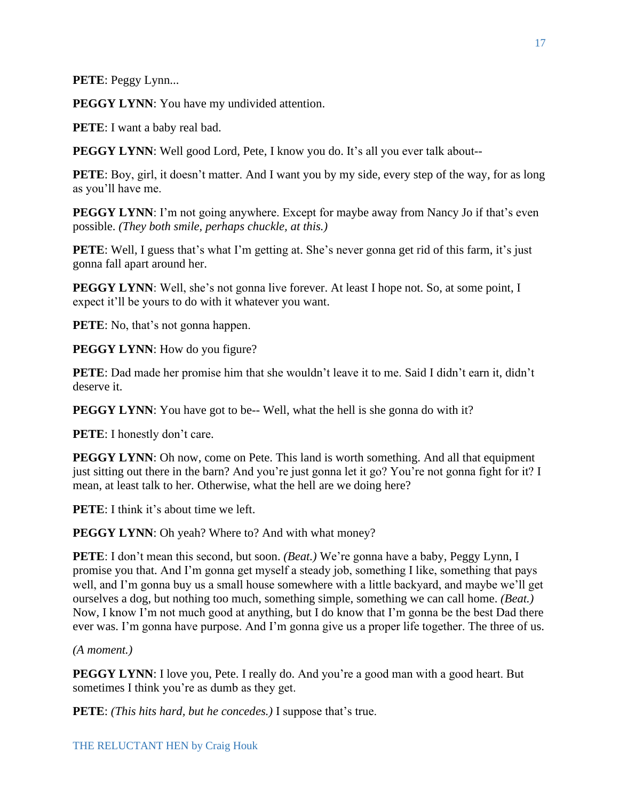**PETE**: Peggy Lynn...

**PEGGY LYNN:** You have my undivided attention.

**PETE**: I want a baby real bad.

**PEGGY LYNN**: Well good Lord, Pete, I know you do. It's all you ever talk about--

**PETE**: Boy, girl, it doesn't matter. And I want you by my side, every step of the way, for as long as you'll have me.

**PEGGY LYNN**: I'm not going anywhere. Except for maybe away from Nancy Jo if that's even possible. *(They both smile, perhaps chuckle, at this.)*

**PETE**: Well, I guess that's what I'm getting at. She's never gonna get rid of this farm, it's just gonna fall apart around her.

**PEGGY LYNN**: Well, she's not gonna live forever. At least I hope not. So, at some point, I expect it'll be yours to do with it whatever you want.

**PETE**: No, that's not gonna happen.

**PEGGY LYNN:** How do you figure?

**PETE**: Dad made her promise him that she wouldn't leave it to me. Said I didn't earn it, didn't deserve it.

**PEGGY LYNN:** You have got to be-- Well, what the hell is she gonna do with it?

**PETE**: I honestly don't care.

**PEGGY LYNN**: Oh now, come on Pete. This land is worth something. And all that equipment just sitting out there in the barn? And you're just gonna let it go? You're not gonna fight for it? I mean, at least talk to her. Otherwise, what the hell are we doing here?

**PETE**: I think it's about time we left.

**PEGGY LYNN:** Oh yeah? Where to? And with what money?

**PETE**: I don't mean this second, but soon. *(Beat.)* We're gonna have a baby, Peggy Lynn, I promise you that. And I'm gonna get myself a steady job, something I like, something that pays well, and I'm gonna buy us a small house somewhere with a little backyard, and maybe we'll get ourselves a dog, but nothing too much, something simple, something we can call home. *(Beat.)* Now, I know I'm not much good at anything, but I do know that I'm gonna be the best Dad there ever was. I'm gonna have purpose. And I'm gonna give us a proper life together. The three of us.

*(A moment.)*

**PEGGY LYNN**: I love you, Pete. I really do. And you're a good man with a good heart. But sometimes I think you're as dumb as they get.

**PETE**: *(This hits hard, but he concedes.)* I suppose that's true.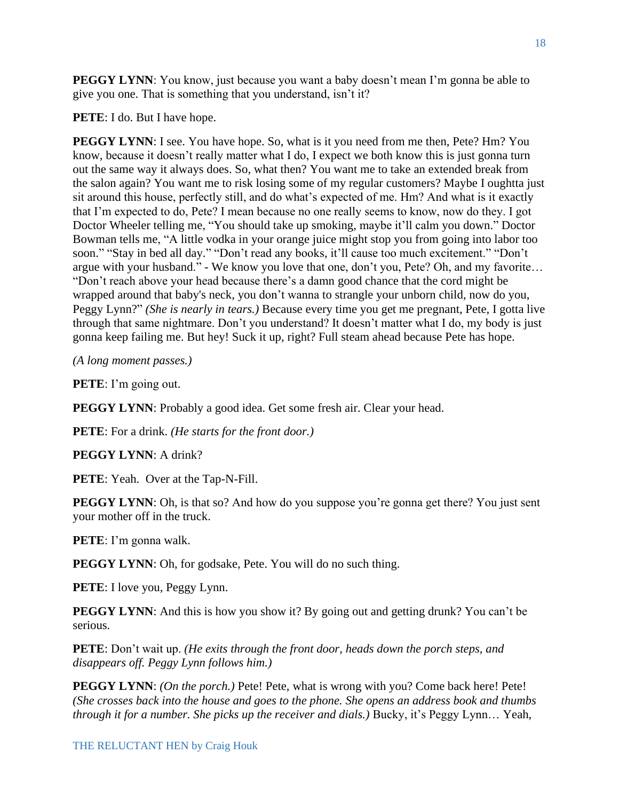**PEGGY LYNN**: You know, just because you want a baby doesn't mean I'm gonna be able to give you one. That is something that you understand, isn't it?

**PETE**: I do. But I have hope.

**PEGGY LYNN**: I see. You have hope. So, what is it you need from me then, Pete? Hm? You know, because it doesn't really matter what I do, I expect we both know this is just gonna turn out the same way it always does. So, what then? You want me to take an extended break from the salon again? You want me to risk losing some of my regular customers? Maybe I oughtta just sit around this house, perfectly still, and do what's expected of me. Hm? And what is it exactly that I'm expected to do, Pete? I mean because no one really seems to know, now do they. I got Doctor Wheeler telling me, "You should take up smoking, maybe it'll calm you down." Doctor Bowman tells me, "A little vodka in your orange juice might stop you from going into labor too soon." "Stay in bed all day." "Don't read any books, it'll cause too much excitement." "Don't argue with your husband." - We know you love that one, don't you, Pete? Oh, and my favorite… "Don't reach above your head because there's a damn good chance that the cord might be wrapped around that baby's neck, you don't wanna to strangle your unborn child, now do you, Peggy Lynn?" *(She is nearly in tears.)* Because every time you get me pregnant, Pete, I gotta live through that same nightmare. Don't you understand? It doesn't matter what I do, my body is just gonna keep failing me. But hey! Suck it up, right? Full steam ahead because Pete has hope.

*(A long moment passes.)*

**PETE**: I'm going out.

**PEGGY LYNN:** Probably a good idea. Get some fresh air. Clear your head.

**PETE**: For a drink. *(He starts for the front door.)*

**PEGGY LYNN**: A drink?

**PETE**: Yeah. Over at the Tap-N-Fill.

**PEGGY LYNN:** Oh, is that so? And how do you suppose you're gonna get there? You just sent your mother off in the truck.

**PETE**: I'm gonna walk.

**PEGGY LYNN**: Oh, for godsake, Pete. You will do no such thing.

**PETE**: I love you, Peggy Lynn.

**PEGGY LYNN:** And this is how you show it? By going out and getting drunk? You can't be serious.

**PETE**: Don't wait up. *(He exits through the front door, heads down the porch steps, and disappears off. Peggy Lynn follows him.)*

**PEGGY LYNN**: *(On the porch.)* Pete! Pete, what is wrong with you? Come back here! Pete! *(She crosses back into the house and goes to the phone. She opens an address book and thumbs through it for a number. She picks up the receiver and dials.)* Bucky, it's Peggy Lynn… Yeah,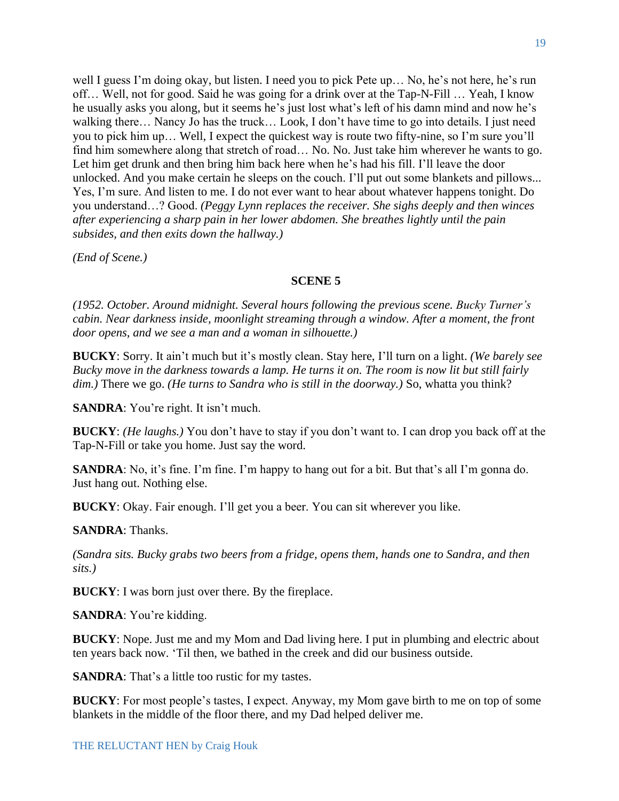well I guess I'm doing okay, but listen. I need you to pick Pete up… No, he's not here, he's run off… Well, not for good. Said he was going for a drink over at the Tap-N-Fill … Yeah, I know he usually asks you along, but it seems he's just lost what's left of his damn mind and now he's walking there… Nancy Jo has the truck… Look, I don't have time to go into details. I just need you to pick him up… Well, I expect the quickest way is route two fifty-nine, so I'm sure you'll find him somewhere along that stretch of road… No. No. Just take him wherever he wants to go. Let him get drunk and then bring him back here when he's had his fill. I'll leave the door unlocked. And you make certain he sleeps on the couch. I'll put out some blankets and pillows... Yes, I'm sure. And listen to me. I do not ever want to hear about whatever happens tonight. Do you understand…? Good. *(Peggy Lynn replaces the receiver. She sighs deeply and then winces after experiencing a sharp pain in her lower abdomen. She breathes lightly until the pain subsides, and then exits down the hallway.)*

*(End of Scene.)*

#### **SCENE 5**

*(1952. October. Around midnight. Several hours following the previous scene. Bucky Turner's cabin. Near darkness inside, moonlight streaming through a window. After a moment, the front door opens, and we see a man and a woman in silhouette.)*

**BUCKY**: Sorry. It ain't much but it's mostly clean. Stay here, I'll turn on a light. *(We barely see Bucky move in the darkness towards a lamp. He turns it on. The room is now lit but still fairly dim.)* There we go. *(He turns to Sandra who is still in the doorway.)* So, whatta you think?

**SANDRA**: You're right. It isn't much.

**BUCKY**: *(He laughs.)* You don't have to stay if you don't want to. I can drop you back off at the Tap-N-Fill or take you home. Just say the word.

**SANDRA**: No, it's fine. I'm fine. I'm happy to hang out for a bit. But that's all I'm gonna do. Just hang out. Nothing else.

**BUCKY**: Okay. Fair enough. I'll get you a beer. You can sit wherever you like.

**SANDRA**: Thanks.

*(Sandra sits. Bucky grabs two beers from a fridge, opens them, hands one to Sandra, and then sits.)* 

**BUCKY**: I was born just over there. By the fireplace.

**SANDRA**: You're kidding.

**BUCKY**: Nope. Just me and my Mom and Dad living here. I put in plumbing and electric about ten years back now. 'Til then, we bathed in the creek and did our business outside.

**SANDRA**: That's a little too rustic for my tastes.

**BUCKY**: For most people's tastes, I expect. Anyway, my Mom gave birth to me on top of some blankets in the middle of the floor there, and my Dad helped deliver me.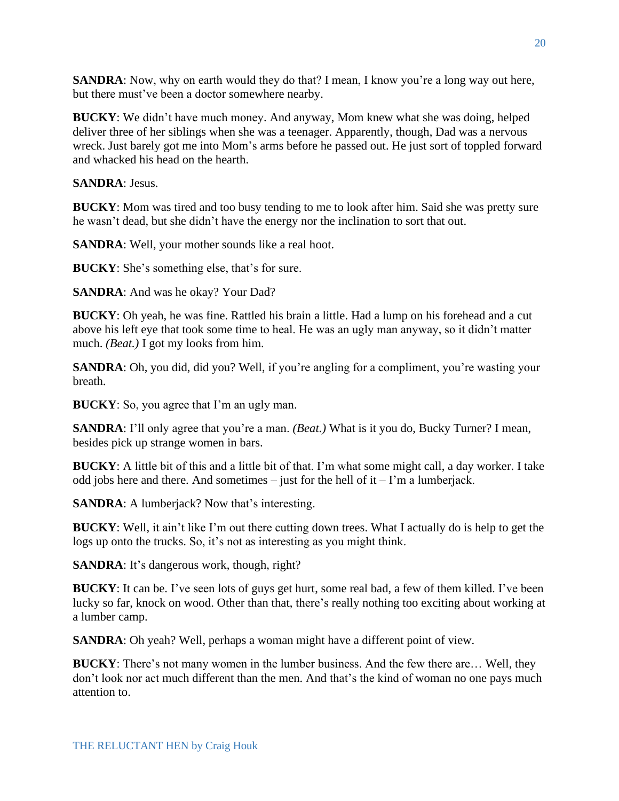**SANDRA**: Now, why on earth would they do that? I mean, I know you're a long way out here, but there must've been a doctor somewhere nearby.

**BUCKY**: We didn't have much money. And anyway, Mom knew what she was doing, helped deliver three of her siblings when she was a teenager. Apparently, though, Dad was a nervous wreck. Just barely got me into Mom's arms before he passed out. He just sort of toppled forward and whacked his head on the hearth.

**SANDRA**: Jesus.

**BUCKY**: Mom was tired and too busy tending to me to look after him. Said she was pretty sure he wasn't dead, but she didn't have the energy nor the inclination to sort that out.

**SANDRA**: Well, your mother sounds like a real hoot.

**BUCKY**: She's something else, that's for sure.

**SANDRA**: And was he okay? Your Dad?

**BUCKY**: Oh yeah, he was fine. Rattled his brain a little. Had a lump on his forehead and a cut above his left eye that took some time to heal. He was an ugly man anyway, so it didn't matter much. *(Beat.)* I got my looks from him.

**SANDRA**: Oh, you did, did you? Well, if you're angling for a compliment, you're wasting your breath.

**BUCKY**: So, you agree that I'm an ugly man.

**SANDRA**: I'll only agree that you're a man. *(Beat.)* What is it you do, Bucky Turner? I mean, besides pick up strange women in bars.

**BUCKY**: A little bit of this and a little bit of that. I'm what some might call, a day worker. I take odd jobs here and there. And sometimes – just for the hell of it – I'm a lumberjack.

**SANDRA:** A lumberjack? Now that's interesting.

**BUCKY**: Well, it ain't like I'm out there cutting down trees. What I actually do is help to get the logs up onto the trucks. So, it's not as interesting as you might think.

**SANDRA**: It's dangerous work, though, right?

**BUCKY**: It can be. I've seen lots of guys get hurt, some real bad, a few of them killed. I've been lucky so far, knock on wood. Other than that, there's really nothing too exciting about working at a lumber camp.

**SANDRA**: Oh yeah? Well, perhaps a woman might have a different point of view.

**BUCKY**: There's not many women in the lumber business. And the few there are… Well, they don't look nor act much different than the men. And that's the kind of woman no one pays much attention to.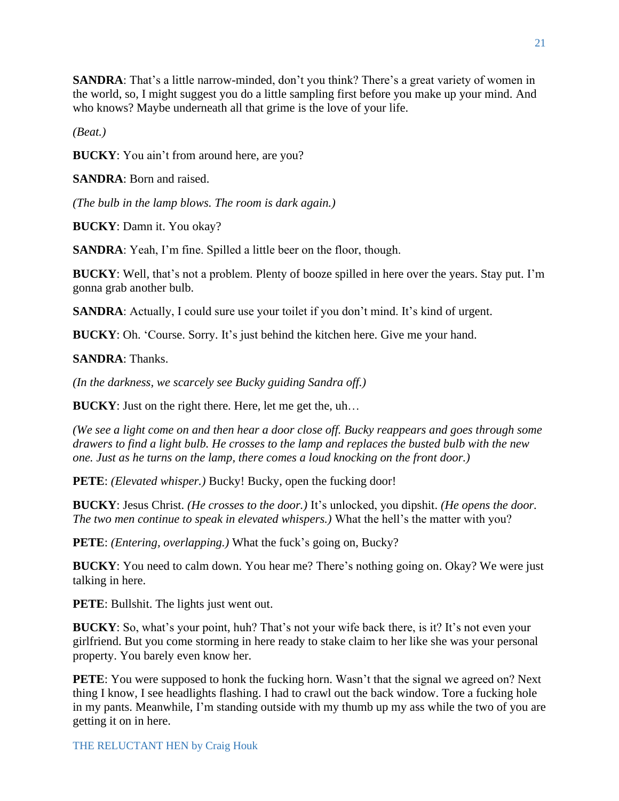**SANDRA**: That's a little narrow-minded, don't you think? There's a great variety of women in the world, so, I might suggest you do a little sampling first before you make up your mind. And who knows? Maybe underneath all that grime is the love of your life.

*(Beat.)*

**BUCKY**: You ain't from around here, are you?

**SANDRA**: Born and raised.

*(The bulb in the lamp blows. The room is dark again.)*

**BUCKY**: Damn it. You okay?

**SANDRA**: Yeah, I'm fine. Spilled a little beer on the floor, though.

**BUCKY**: Well, that's not a problem. Plenty of booze spilled in here over the years. Stay put. I'm gonna grab another bulb.

**SANDRA**: Actually, I could sure use your toilet if you don't mind. It's kind of urgent.

**BUCKY**: Oh. 'Course. Sorry. It's just behind the kitchen here. Give me your hand.

**SANDRA**: Thanks.

*(In the darkness, we scarcely see Bucky guiding Sandra off.)*

**BUCKY**: Just on the right there. Here, let me get the, uh…

*(We see a light come on and then hear a door close off. Bucky reappears and goes through some drawers to find a light bulb. He crosses to the lamp and replaces the busted bulb with the new one. Just as he turns on the lamp, there comes a loud knocking on the front door.)*

**PETE**: *(Elevated whisper.)* Bucky! Bucky, open the fucking door!

**BUCKY**: Jesus Christ. *(He crosses to the door.)* It's unlocked, you dipshit. *(He opens the door. The two men continue to speak in elevated whispers.)* What the hell's the matter with you?

**PETE**: *(Entering, overlapping.)* What the fuck's going on, Bucky?

**BUCKY**: You need to calm down. You hear me? There's nothing going on. Okay? We were just talking in here.

**PETE**: Bullshit. The lights just went out.

**BUCKY**: So, what's your point, huh? That's not your wife back there, is it? It's not even your girlfriend. But you come storming in here ready to stake claim to her like she was your personal property. You barely even know her.

**PETE**: You were supposed to honk the fucking horn. Wasn't that the signal we agreed on? Next thing I know, I see headlights flashing. I had to crawl out the back window. Tore a fucking hole in my pants. Meanwhile, I'm standing outside with my thumb up my ass while the two of you are getting it on in here.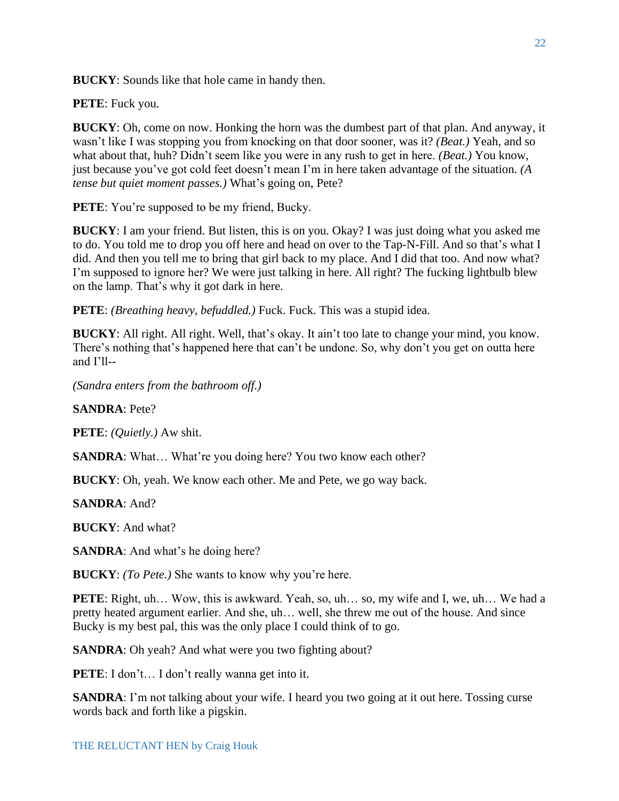**BUCKY**: Sounds like that hole came in handy then.

**PETE**: Fuck you.

**BUCKY**: Oh, come on now. Honking the horn was the dumbest part of that plan. And anyway, it wasn't like I was stopping you from knocking on that door sooner, was it? *(Beat.)* Yeah, and so what about that, huh? Didn't seem like you were in any rush to get in here. *(Beat.)* You know, just because you've got cold feet doesn't mean I'm in here taken advantage of the situation. *(A tense but quiet moment passes.)* What's going on, Pete?

**PETE**: You're supposed to be my friend, Bucky.

**BUCKY**: I am your friend. But listen, this is on you. Okay? I was just doing what you asked me to do. You told me to drop you off here and head on over to the Tap-N-Fill. And so that's what I did. And then you tell me to bring that girl back to my place. And I did that too. And now what? I'm supposed to ignore her? We were just talking in here. All right? The fucking lightbulb blew on the lamp. That's why it got dark in here.

**PETE**: *(Breathing heavy, befuddled.)* Fuck. Fuck. This was a stupid idea.

**BUCKY**: All right. All right. Well, that's okay. It ain't too late to change your mind, you know. There's nothing that's happened here that can't be undone. So, why don't you get on outta here and I'll--

*(Sandra enters from the bathroom off.)*

**SANDRA**: Pete?

**PETE**: *(Quietly.)* Aw shit.

**SANDRA**: What... What're you doing here? You two know each other?

**BUCKY**: Oh, yeah. We know each other. Me and Pete, we go way back.

**SANDRA**: And?

**BUCKY**: And what?

**SANDRA**: And what's he doing here?

**BUCKY**: *(To Pete.)* She wants to know why you're here.

**PETE**: Right, uh... Wow, this is awkward. Yeah, so, uh... so, my wife and I, we, uh... We had a pretty heated argument earlier. And she, uh… well, she threw me out of the house. And since Bucky is my best pal, this was the only place I could think of to go.

**SANDRA**: Oh yeah? And what were you two fighting about?

**PETE**: I don't… I don't really wanna get into it.

**SANDRA**: I'm not talking about your wife. I heard you two going at it out here. Tossing curse words back and forth like a pigskin.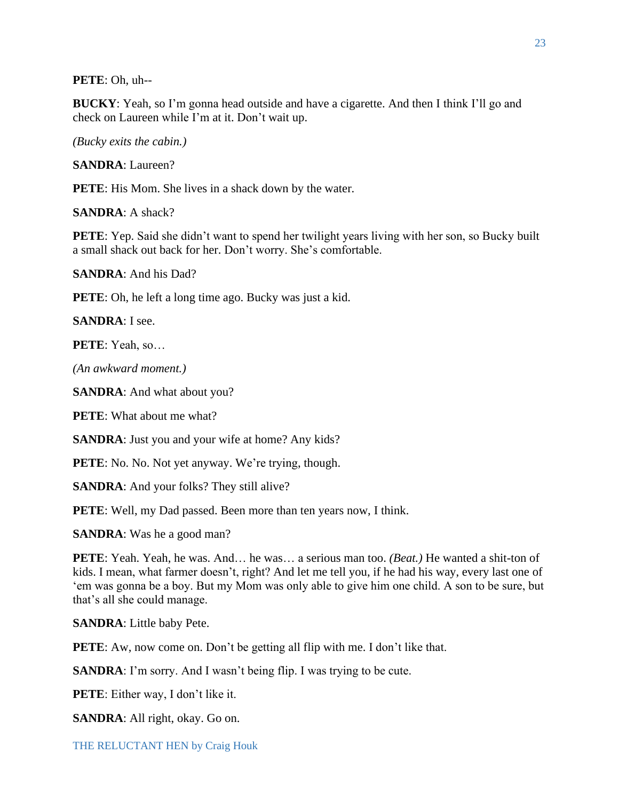**PETE**: Oh, uh--

**BUCKY**: Yeah, so I'm gonna head outside and have a cigarette. And then I think I'll go and check on Laureen while I'm at it. Don't wait up.

*(Bucky exits the cabin.)*

**SANDRA**: Laureen?

**PETE**: His Mom. She lives in a shack down by the water.

**SANDRA**: A shack?

**PETE:** Yep. Said she didn't want to spend her twilight years living with her son, so Bucky built a small shack out back for her. Don't worry. She's comfortable.

**SANDRA**: And his Dad?

**PETE**: Oh, he left a long time ago. Bucky was just a kid.

**SANDRA**: I see.

**PETE**: Yeah, so…

*(An awkward moment.)*

**SANDRA**: And what about you?

**PETE**: What about me what?

**SANDRA**: Just you and your wife at home? Any kids?

**PETE**: No. No. Not yet anyway. We're trying, though.

**SANDRA**: And your folks? They still alive?

**PETE**: Well, my Dad passed. Been more than ten years now, I think.

**SANDRA**: Was he a good man?

**PETE**: Yeah. Yeah, he was. And… he was… a serious man too. *(Beat.)* He wanted a shit-ton of kids. I mean, what farmer doesn't, right? And let me tell you, if he had his way, every last one of 'em was gonna be a boy. But my Mom was only able to give him one child. A son to be sure, but that's all she could manage.

**SANDRA**: Little baby Pete.

**PETE:** Aw, now come on. Don't be getting all flip with me. I don't like that.

**SANDRA**: I'm sorry. And I wasn't being flip. I was trying to be cute.

**PETE**: Either way, I don't like it.

**SANDRA**: All right, okay. Go on.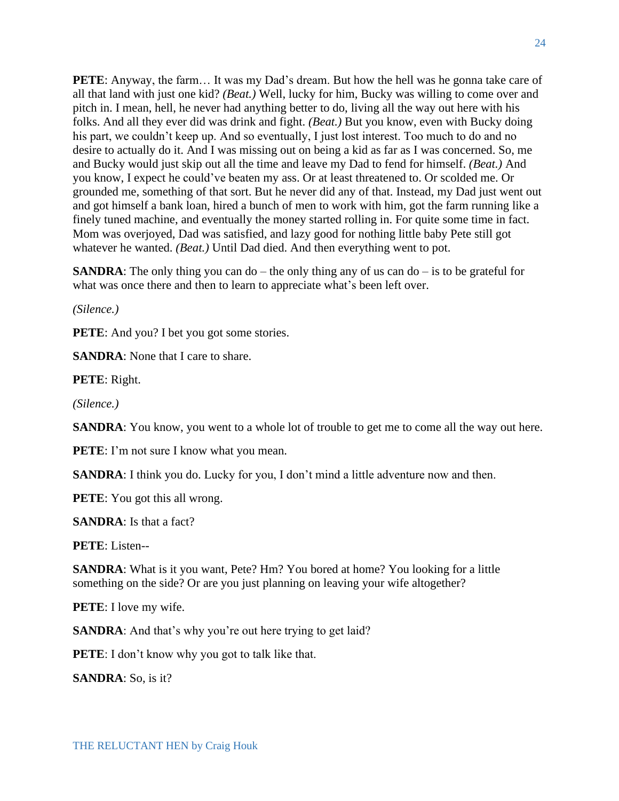**PETE:** Anyway, the farm... It was my Dad's dream. But how the hell was he gonna take care of all that land with just one kid? *(Beat.)* Well, lucky for him, Bucky was willing to come over and pitch in. I mean, hell, he never had anything better to do, living all the way out here with his folks. And all they ever did was drink and fight. *(Beat.)* But you know, even with Bucky doing his part, we couldn't keep up. And so eventually, I just lost interest. Too much to do and no desire to actually do it. And I was missing out on being a kid as far as I was concerned. So, me and Bucky would just skip out all the time and leave my Dad to fend for himself. *(Beat.)* And you know, I expect he could've beaten my ass. Or at least threatened to. Or scolded me. Or grounded me, something of that sort. But he never did any of that. Instead, my Dad just went out and got himself a bank loan, hired a bunch of men to work with him, got the farm running like a finely tuned machine, and eventually the money started rolling in. For quite some time in fact. Mom was overjoyed, Dad was satisfied, and lazy good for nothing little baby Pete still got whatever he wanted. *(Beat.)* Until Dad died. And then everything went to pot.

**SANDRA**: The only thing you can do – the only thing any of us can do – is to be grateful for what was once there and then to learn to appreciate what's been left over.

*(Silence.)*

**PETE**: And you? I bet you got some stories.

**SANDRA:** None that I care to share.

**PETE**: Right.

*(Silence.)*

**SANDRA**: You know, you went to a whole lot of trouble to get me to come all the way out here.

**PETE**: I'm not sure I know what you mean.

**SANDRA**: I think you do. Lucky for you, I don't mind a little adventure now and then.

**PETE**: You got this all wrong.

**SANDRA**: Is that a fact?

**PETE**: Listen--

**SANDRA**: What is it you want, Pete? Hm? You bored at home? You looking for a little something on the side? Or are you just planning on leaving your wife altogether?

**PETE**: I love my wife.

**SANDRA**: And that's why you're out here trying to get laid?

**PETE**: I don't know why you got to talk like that.

**SANDRA**: So, is it?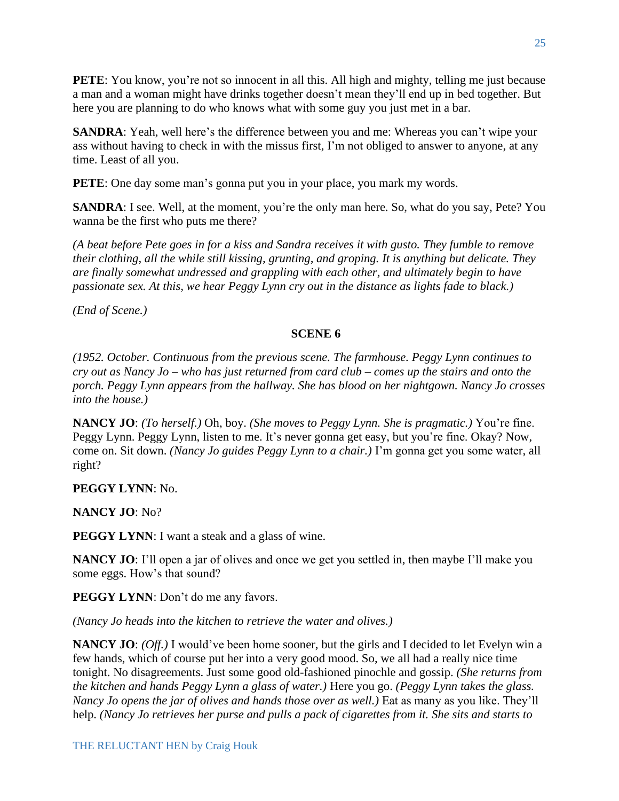PETE: You know, you're not so innocent in all this. All high and mighty, telling me just because a man and a woman might have drinks together doesn't mean they'll end up in bed together. But here you are planning to do who knows what with some guy you just met in a bar.

**SANDRA**: Yeah, well here's the difference between you and me: Whereas you can't wipe your ass without having to check in with the missus first, I'm not obliged to answer to anyone, at any time. Least of all you.

**PETE**: One day some man's gonna put you in your place, you mark my words.

**SANDRA**: I see. Well, at the moment, you're the only man here. So, what do you say, Pete? You wanna be the first who puts me there?

*(A beat before Pete goes in for a kiss and Sandra receives it with gusto. They fumble to remove their clothing, all the while still kissing, grunting, and groping. It is anything but delicate. They are finally somewhat undressed and grappling with each other, and ultimately begin to have passionate sex. At this, we hear Peggy Lynn cry out in the distance as lights fade to black.)* 

*(End of Scene.)*

## **SCENE 6**

*(1952. October. Continuous from the previous scene. The farmhouse. Peggy Lynn continues to cry out as Nancy Jo – who has just returned from card club – comes up the stairs and onto the porch. Peggy Lynn appears from the hallway. She has blood on her nightgown. Nancy Jo crosses into the house.)*

**NANCY JO**: *(To herself.)* Oh, boy. *(She moves to Peggy Lynn. She is pragmatic.)* You're fine. Peggy Lynn. Peggy Lynn, listen to me. It's never gonna get easy, but you're fine. Okay? Now, come on. Sit down. *(Nancy Jo guides Peggy Lynn to a chair.)* I'm gonna get you some water, all right?

## **PEGGY LYNN**: No.

**NANCY JO**: No?

**PEGGY LYNN:** I want a steak and a glass of wine.

**NANCY JO**: I'll open a jar of olives and once we get you settled in, then maybe I'll make you some eggs. How's that sound?

**PEGGY LYNN**: Don't do me any favors.

*(Nancy Jo heads into the kitchen to retrieve the water and olives.)*

**NANCY JO**: *(Off.)* I would've been home sooner, but the girls and I decided to let Evelyn win a few hands, which of course put her into a very good mood. So, we all had a really nice time tonight. No disagreements. Just some good old-fashioned pinochle and gossip. *(She returns from the kitchen and hands Peggy Lynn a glass of water.)* Here you go. *(Peggy Lynn takes the glass. Nancy Jo opens the jar of olives and hands those over as well.)* Eat as many as you like. They'll help. *(Nancy Jo retrieves her purse and pulls a pack of cigarettes from it. She sits and starts to*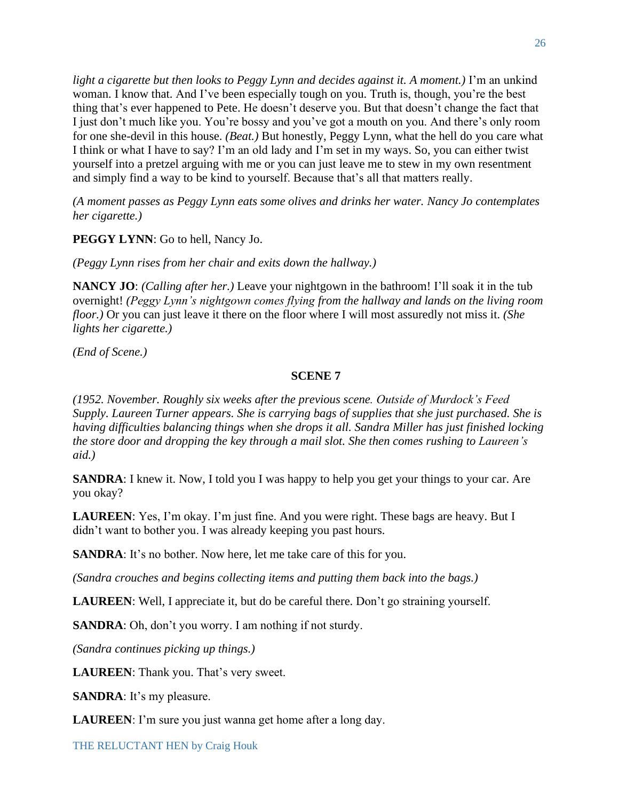*light a cigarette but then looks to Peggy Lynn and decides against it. A moment.)* I'm an unkind woman. I know that. And I've been especially tough on you. Truth is, though, you're the best thing that's ever happened to Pete. He doesn't deserve you. But that doesn't change the fact that I just don't much like you. You're bossy and you've got a mouth on you. And there's only room for one she-devil in this house. *(Beat.)* But honestly, Peggy Lynn, what the hell do you care what I think or what I have to say? I'm an old lady and I'm set in my ways. So, you can either twist yourself into a pretzel arguing with me or you can just leave me to stew in my own resentment and simply find a way to be kind to yourself. Because that's all that matters really.

*(A moment passes as Peggy Lynn eats some olives and drinks her water. Nancy Jo contemplates her cigarette.)*

**PEGGY LYNN**: Go to hell, Nancy Jo.

*(Peggy Lynn rises from her chair and exits down the hallway.)*

**NANCY JO**: *(Calling after her.)* Leave your nightgown in the bathroom! I'll soak it in the tub overnight! *(Peggy Lynn's nightgown comes flying from the hallway and lands on the living room floor.)* Or you can just leave it there on the floor where I will most assuredly not miss it. *(She lights her cigarette.)*

*(End of Scene.)*

#### **SCENE 7**

*(1952. November. Roughly six weeks after the previous scene. Outside of Murdock's Feed Supply. Laureen Turner appears. She is carrying bags of supplies that she just purchased. She is having difficulties balancing things when she drops it all. Sandra Miller has just finished locking the store door and dropping the key through a mail slot. She then comes rushing to Laureen's aid.)*

**SANDRA**: I knew it. Now, I told you I was happy to help you get your things to your car. Are you okay?

**LAUREEN**: Yes, I'm okay. I'm just fine. And you were right. These bags are heavy. But I didn't want to bother you. I was already keeping you past hours.

**SANDRA**: It's no bother. Now here, let me take care of this for you.

*(Sandra crouches and begins collecting items and putting them back into the bags.)*

**LAUREEN:** Well, I appreciate it, but do be careful there. Don't go straining yourself.

**SANDRA**: Oh, don't you worry. I am nothing if not sturdy.

*(Sandra continues picking up things.)*

**LAUREEN**: Thank you. That's very sweet.

**SANDRA**: It's my pleasure.

**LAUREEN**: I'm sure you just wanna get home after a long day.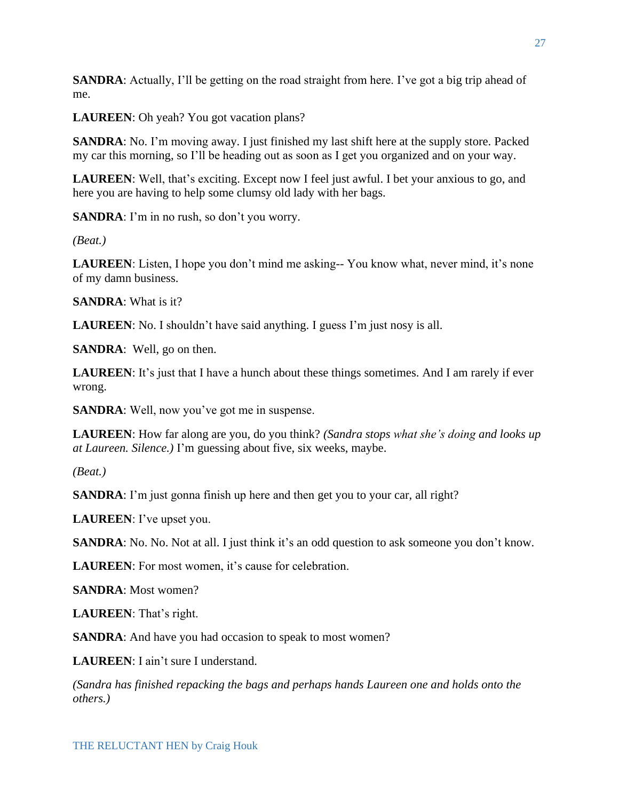**SANDRA**: Actually, I'll be getting on the road straight from here. I've got a big trip ahead of me.

**LAUREEN**: Oh yeah? You got vacation plans?

**SANDRA**: No. I'm moving away. I just finished my last shift here at the supply store. Packed my car this morning, so I'll be heading out as soon as I get you organized and on your way.

**LAUREEN**: Well, that's exciting. Except now I feel just awful. I bet your anxious to go, and here you are having to help some clumsy old lady with her bags.

**SANDRA**: I'm in no rush, so don't you worry.

*(Beat.)*

**LAUREEN**: Listen, I hope you don't mind me asking-- You know what, never mind, it's none of my damn business.

**SANDRA**: What is it?

**LAUREEN:** No. I shouldn't have said anything. I guess I'm just nosy is all.

**SANDRA**: Well, go on then.

**LAUREEN**: It's just that I have a hunch about these things sometimes. And I am rarely if ever wrong.

**SANDRA**: Well, now you've got me in suspense.

**LAUREEN**: How far along are you, do you think? *(Sandra stops what she's doing and looks up at Laureen. Silence.)* I'm guessing about five, six weeks, maybe.

*(Beat.)*

**SANDRA**: I'm just gonna finish up here and then get you to your car, all right?

**LAUREEN**: I've upset you.

**SANDRA**: No. No. Not at all. I just think it's an odd question to ask someone you don't know.

LAUREEN: For most women, it's cause for celebration.

**SANDRA**: Most women?

**LAUREEN**: That's right.

**SANDRA**: And have you had occasion to speak to most women?

**LAUREEN**: I ain't sure I understand.

*(Sandra has finished repacking the bags and perhaps hands Laureen one and holds onto the others.)*